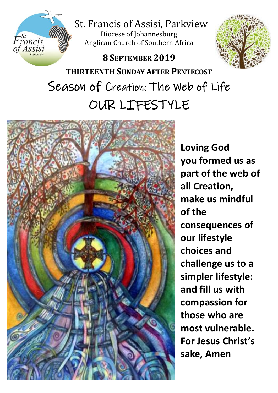

St. Francis of Assisi, Parkview

Diocese of Johannesburg Anglican Church of Southern Africa

# **8 SEPTEMBER 2019**



**THIRTEENTH SUNDAY AFTER PENTECOST** Season of Creation: The Web of Life OUR LIFESTYLE



**Loving God you formed us as part of the web of all Creation, make us mindful of the consequences of our lifestyle choices and challenge us to a simpler lifestyle: and fill us with compassion for those who are most vulnerable. For Jesus Christ's sake, Amen**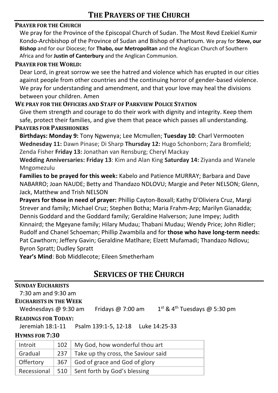## **PRAYER FOR THE CHURCH**

We pray for the Province of the Episcopal Church of Sudan. The Most Revd Ezekiel Kumir Kondo-Archbishop of the Province of Sudan and Bishop of Khartoum. We pray for **Steve, our Bishop** and for our Diocese; for **Thabo, our Metropolitan** and the Anglican Church of Southern Africa and for **Justin of Canterbury** and the Anglican Communion.

#### **PRAYER FOR THE WORLD:**

Dear Lord, in great sorrow we see the hatred and violence which has erupted in our cities against people from other countries and the continuing horror of gender-based violence. We pray for understanding and amendment, and that your love may heal the divisions between your children. Amen

#### **WE PRAY FOR THE OFFICERS AND STAFF OF PARKVIEW POLICE STATION**

Give them strength and courage to do their work with dignity and integrity. Keep them safe, protect their families, and give them that peace which passes all understanding.

#### **PRAYERS FOR PARISHIONERS**

**Birthdays: Monday 9:** Tony Ngwenya; Lee Mcmullen; **Tuesday 10**: Charl Vermooten **Wednesday 11:** Dawn Pinase; Di Sharp **Thursday 12:** Hugo Schonborn; Zara Bromfield; Zenda Fisher **Friday 13:** Jonathan van Rensburg; Cheryl Mackay

**Wedding Anniversaries: Friday 13**: Kim and Alan King **Saturday 14:** Ziyanda and Wanele Mngomezulu

**Families to be prayed for this week:** Kabelo and Patience MURRAY; Barbara and Dave NABARRO; Joan NAUDE; Betty and Thandazo NDLOVU; Margie and Peter NELSON; Glenn, Jack, Matthew and Trish NELSON

**Prayers for those in need of prayer:** Phillip Cayton-Boxall; Kathy D'Oliviera Cruz, Margi Strever and family; Michael Cruz; Stephen Botha; Maria Frahm-Arp; Marilyn Gianadda; Dennis Goddard and the Goddard family; Geraldine Halverson; June Impey; Judith Kinnaird; the Mgeyane family; Hilary Mudau; Thabani Mudau; Wendy Price; John Ridler; Rudolf and Chanel Schoeman; Phillip Zwambila and for **those who have long-term needs:** Pat Cawthorn; Jeffery Gavin; Geraldine Matlhare; Elzett Mufamadi; Thandazo Ndlovu; Byron Spratt; Dudley Spratt

**Year's Mind**: Bob Middlecote; Eileen Smetherham

## **SERVICES OF THE CHURCH**

#### **SUNDAY EUCHARISTS**

## 7:30 am and 9:30 am

## **EUCHARISTS IN THE WEEK**

Wednesdays @ 9:30 am Fridays @ 7:00 am

 $1<sup>st</sup>$  & 4<sup>th</sup> Tuesdays @ 5:30 pm

#### **READINGS FOR TODAY:**

Jeremiah 18:1-11 Psalm 139:1-5, 12-18 Luke 14:25-33

#### **HYMNS FOR 7:30**

| Introit     | 102   | My God, how wonderful thou art      |
|-------------|-------|-------------------------------------|
| Gradual     | 237   | Take up thy cross, the Saviour said |
| Offertory   | 367 I | God of grace and God of glory       |
| Recessional |       | 510   Sent forth by God's blessing  |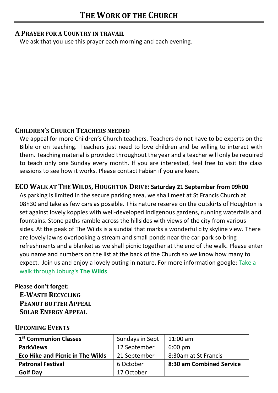#### **A PRAYER FOR A COUNTRY IN TRAVAIL**

We ask that you use this prayer each morning and each evening.

## **CHILDREN'S CHURCH TEACHERS NEEDED**

We appeal for more Children's Church teachers. Teachers do not have to be experts on the Bible or on teaching. Teachers just need to love children and be willing to interact with them. Teaching material is provided throughout the year and a teacher will only be required to teach only one Sunday every month. If you are interested, feel free to visit the class sessions to see how it works. Please contact Fabian if you are keen.

## **ECO WALK AT THE WILDS, HOUGHTON DRIVE: Saturday 21 September from 09h00**

As parking is limited in the secure parking area, we shall meet at St Francis Church at 08h30 and take as few cars as possible. This nature reserve on the outskirts of Houghton is set against lovely koppies with well-developed indigenous gardens, running waterfalls and fountains. Stone paths ramble across the hillsides with views of the city from various sides. At the peak of The Wilds is a sundial that marks a wonderful city skyline view. There are lovely lawns overlooking a stream and small ponds near the car-park so bring refreshments and a blanket as we shall picnic together at the end of the walk. Please enter you name and numbers on the list at the back of the Church so we know how many to expect. Join us and enjoy a lovely outing in nature. For more information google[: Take a](https://www.countrylife.co.za/travel/take-a-walk-through-joburgs-the-wilds)  [walk through Joburg's](https://www.countrylife.co.za/travel/take-a-walk-through-joburgs-the-wilds) **The Wilds**

### **Please don't forget:**

**E-WASTE RECYCLING PEANUT BUTTER APPEAL SOLAR ENERGY APPEAL**

### **UPCOMING EVENTS**

| 1 <sup>st</sup> Communion Classes       | Sundays in Sept | $11:00$ am               |
|-----------------------------------------|-----------------|--------------------------|
| <b>ParkViews</b>                        | 12 September    | $6:00 \text{ pm}$        |
| <b>Eco Hike and Picnic in The Wilds</b> | 21 September    | 8:30am at St Francis     |
| <b>Patronal Festival</b>                | 6 October       | 8:30 am Combined Service |
| <b>Golf Day</b>                         | 17 October      |                          |